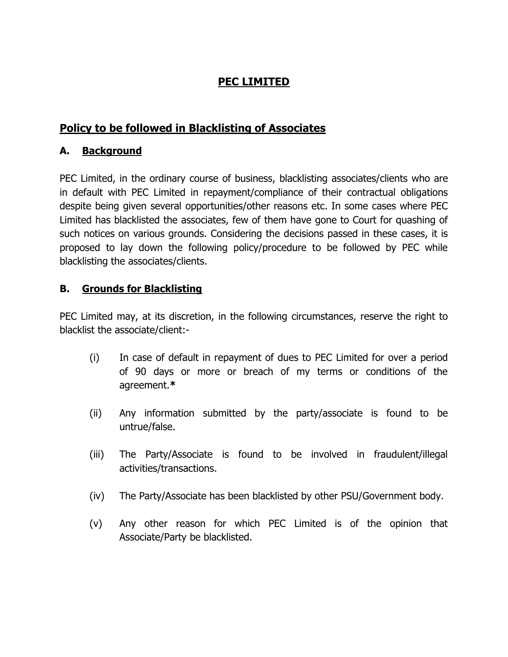# **PEC LIMITED**

## **Policy to be followed in Blacklisting of Associates**

### **A. Background**

PEC Limited, in the ordinary course of business, blacklisting associates/clients who are in default with PEC Limited in repayment/compliance of their contractual obligations despite being given several opportunities/other reasons etc. In some cases where PEC Limited has blacklisted the associates, few of them have gone to Court for quashing of such notices on various grounds. Considering the decisions passed in these cases, it is proposed to lay down the following policy/procedure to be followed by PEC while blacklisting the associates/clients.

#### **B. Grounds for Blacklisting**

PEC Limited may, at its discretion, in the following circumstances, reserve the right to blacklist the associate/client:-

- (i) In case of default in repayment of dues to PEC Limited for over a period of 90 days or more or breach of my terms or conditions of the agreement.**\***
- (ii) Any information submitted by the party/associate is found to be untrue/false.
- (iii) The Party/Associate is found to be involved in fraudulent/illegal activities/transactions.
- (iv) The Party/Associate has been blacklisted by other PSU/Government body.
- (v) Any other reason for which PEC Limited is of the opinion that Associate/Party be blacklisted.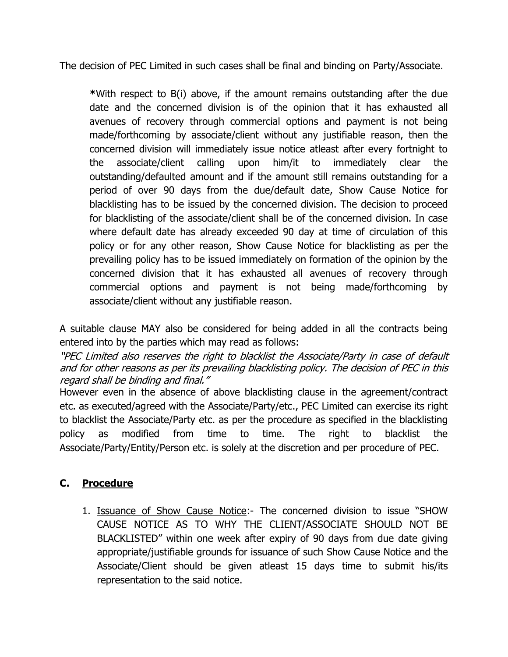The decision of PEC Limited in such cases shall be final and binding on Party/Associate.

**\***With respect to B(i) above, if the amount remains outstanding after the due date and the concerned division is of the opinion that it has exhausted all avenues of recovery through commercial options and payment is not being made/forthcoming by associate/client without any justifiable reason, then the concerned division will immediately issue notice atleast after every fortnight to the associate/client calling upon him/it to immediately clear the outstanding/defaulted amount and if the amount still remains outstanding for a period of over 90 days from the due/default date, Show Cause Notice for blacklisting has to be issued by the concerned division. The decision to proceed for blacklisting of the associate/client shall be of the concerned division. In case where default date has already exceeded 90 day at time of circulation of this policy or for any other reason, Show Cause Notice for blacklisting as per the prevailing policy has to be issued immediately on formation of the opinion by the concerned division that it has exhausted all avenues of recovery through commercial options and payment is not being made/forthcoming by associate/client without any justifiable reason.

A suitable clause MAY also be considered for being added in all the contracts being entered into by the parties which may read as follows:

"PEC Limited also reserves the right to blacklist the Associate/Party in case of default and for other reasons as per its prevailing blacklisting policy. The decision of PEC in this regard shall be binding and final."

However even in the absence of above blacklisting clause in the agreement/contract etc. as executed/agreed with the Associate/Party/etc., PEC Limited can exercise its right to blacklist the Associate/Party etc. as per the procedure as specified in the blacklisting policy as modified from time to time. The right to blacklist the Associate/Party/Entity/Person etc. is solely at the discretion and per procedure of PEC.

### **C. Procedure**

1. Issuance of Show Cause Notice:- The concerned division to issue "SHOW CAUSE NOTICE AS TO WHY THE CLIENT/ASSOCIATE SHOULD NOT BE BLACKLISTED" within one week after expiry of 90 days from due date giving appropriate/justifiable grounds for issuance of such Show Cause Notice and the Associate/Client should be given atleast 15 days time to submit his/its representation to the said notice.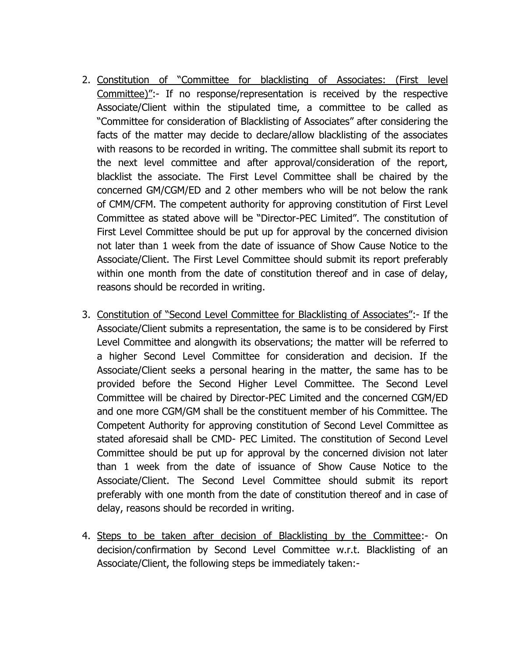- 2. Constitution of "Committee for blacklisting of Associates: (First level Committee)":- If no response/representation is received by the respective Associate/Client within the stipulated time, a committee to be called as "Committee for consideration of Blacklisting of Associates" after considering the facts of the matter may decide to declare/allow blacklisting of the associates with reasons to be recorded in writing. The committee shall submit its report to the next level committee and after approval/consideration of the report, blacklist the associate. The First Level Committee shall be chaired by the concerned GM/CGM/ED and 2 other members who will be not below the rank of CMM/CFM. The competent authority for approving constitution of First Level Committee as stated above will be "Director-PEC Limited". The constitution of First Level Committee should be put up for approval by the concerned division not later than 1 week from the date of issuance of Show Cause Notice to the Associate/Client. The First Level Committee should submit its report preferably within one month from the date of constitution thereof and in case of delay, reasons should be recorded in writing.
- 3. Constitution of "Second Level Committee for Blacklisting of Associates":- If the Associate/Client submits a representation, the same is to be considered by First Level Committee and alongwith its observations; the matter will be referred to a higher Second Level Committee for consideration and decision. If the Associate/Client seeks a personal hearing in the matter, the same has to be provided before the Second Higher Level Committee. The Second Level Committee will be chaired by Director-PEC Limited and the concerned CGM/ED and one more CGM/GM shall be the constituent member of his Committee. The Competent Authority for approving constitution of Second Level Committee as stated aforesaid shall be CMD- PEC Limited. The constitution of Second Level Committee should be put up for approval by the concerned division not later than 1 week from the date of issuance of Show Cause Notice to the Associate/Client. The Second Level Committee should submit its report preferably with one month from the date of constitution thereof and in case of delay, reasons should be recorded in writing.
- 4. Steps to be taken after decision of Blacklisting by the Committee:- On decision/confirmation by Second Level Committee w.r.t. Blacklisting of an Associate/Client, the following steps be immediately taken:-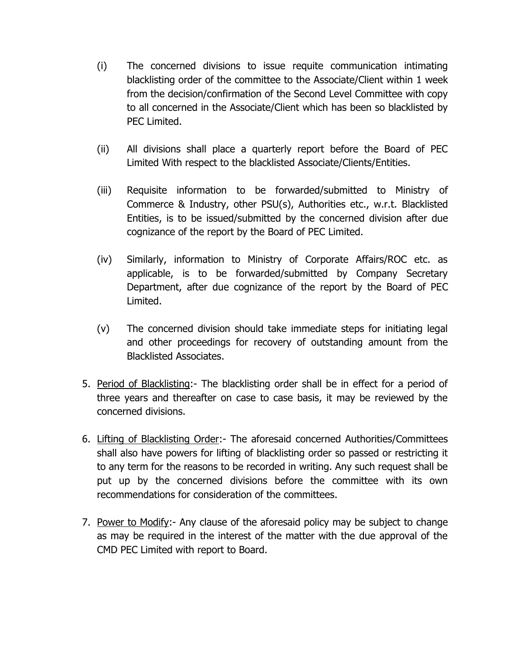- (i) The concerned divisions to issue requite communication intimating blacklisting order of the committee to the Associate/Client within 1 week from the decision/confirmation of the Second Level Committee with copy to all concerned in the Associate/Client which has been so blacklisted by PEC Limited.
- (ii) All divisions shall place a quarterly report before the Board of PEC Limited With respect to the blacklisted Associate/Clients/Entities.
- (iii) Requisite information to be forwarded/submitted to Ministry of Commerce & Industry, other PSU(s), Authorities etc., w.r.t. Blacklisted Entities, is to be issued/submitted by the concerned division after due cognizance of the report by the Board of PEC Limited.
- (iv) Similarly, information to Ministry of Corporate Affairs/ROC etc. as applicable, is to be forwarded/submitted by Company Secretary Department, after due cognizance of the report by the Board of PEC Limited.
- (v) The concerned division should take immediate steps for initiating legal and other proceedings for recovery of outstanding amount from the Blacklisted Associates.
- 5. Period of Blacklisting:- The blacklisting order shall be in effect for a period of three years and thereafter on case to case basis, it may be reviewed by the concerned divisions.
- 6. Lifting of Blacklisting Order:- The aforesaid concerned Authorities/Committees shall also have powers for lifting of blacklisting order so passed or restricting it to any term for the reasons to be recorded in writing. Any such request shall be put up by the concerned divisions before the committee with its own recommendations for consideration of the committees.
- 7. Power to Modify:- Any clause of the aforesaid policy may be subject to change as may be required in the interest of the matter with the due approval of the CMD PEC Limited with report to Board.